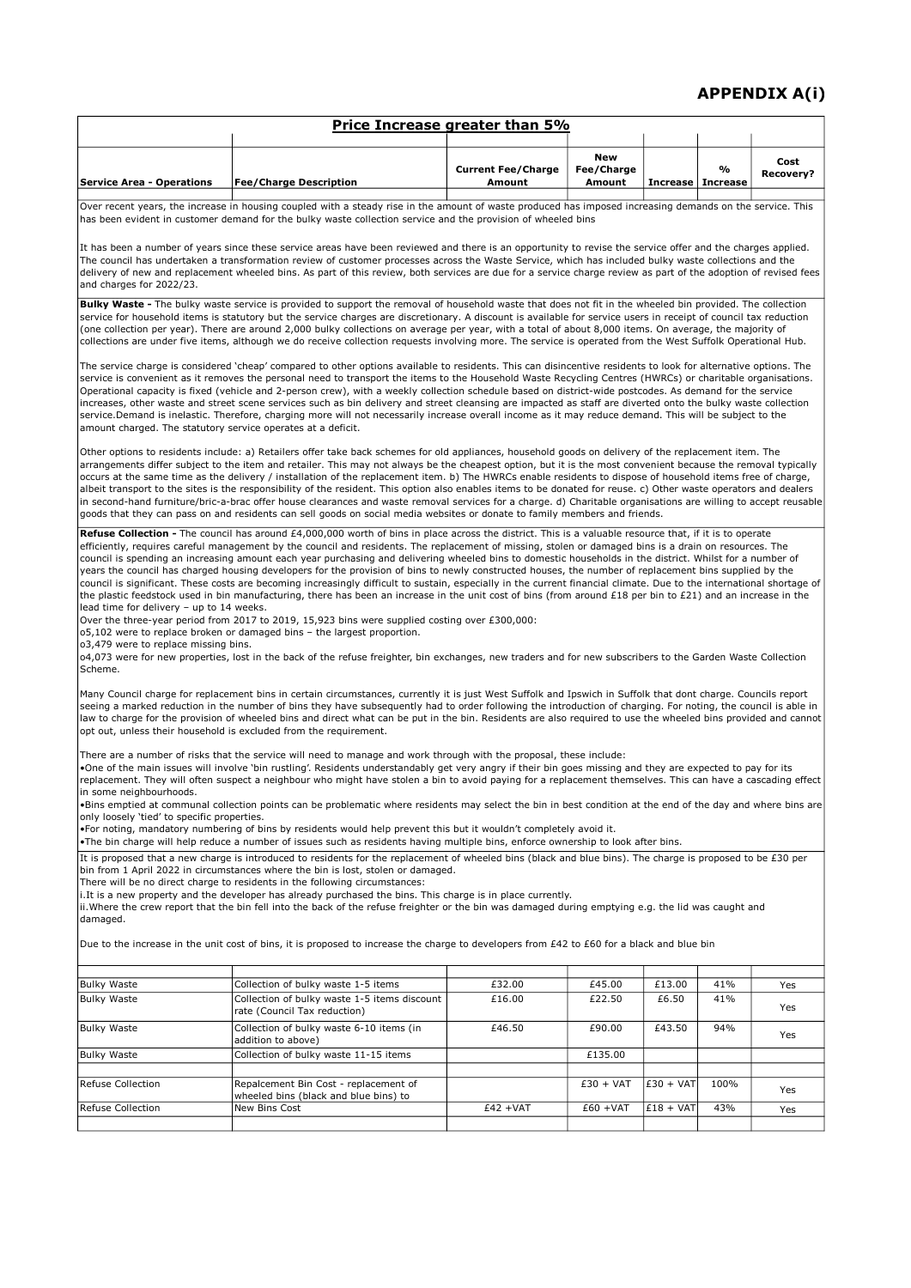## APPENDIX A(i)

|                                                                                                                                                                                                                                                                                                                                                                                                                                                                                                                                                                                                                                                                                                                                                                                                                                                                                                                                                                                                                                                                                                                                                                                                                                                                                                                                                                                                                             |                                                                                | Price Increase greater than 5%      |                             |                     |      |                   |  |  |  |
|-----------------------------------------------------------------------------------------------------------------------------------------------------------------------------------------------------------------------------------------------------------------------------------------------------------------------------------------------------------------------------------------------------------------------------------------------------------------------------------------------------------------------------------------------------------------------------------------------------------------------------------------------------------------------------------------------------------------------------------------------------------------------------------------------------------------------------------------------------------------------------------------------------------------------------------------------------------------------------------------------------------------------------------------------------------------------------------------------------------------------------------------------------------------------------------------------------------------------------------------------------------------------------------------------------------------------------------------------------------------------------------------------------------------------------|--------------------------------------------------------------------------------|-------------------------------------|-----------------------------|---------------------|------|-------------------|--|--|--|
| <b>Service Area - Operations</b>                                                                                                                                                                                                                                                                                                                                                                                                                                                                                                                                                                                                                                                                                                                                                                                                                                                                                                                                                                                                                                                                                                                                                                                                                                                                                                                                                                                            | <b>Fee/Charge Description</b>                                                  | <b>Current Fee/Charge</b><br>Amount | New<br>Fee/Charge<br>Amount | Increase   Increase | %    | Cost<br>Recovery? |  |  |  |
| Over recent years, the increase in housing coupled with a steady rise in the amount of waste produced has imposed increasing demands on the service. This<br>has been evident in customer demand for the bulky waste collection service and the provision of wheeled bins                                                                                                                                                                                                                                                                                                                                                                                                                                                                                                                                                                                                                                                                                                                                                                                                                                                                                                                                                                                                                                                                                                                                                   |                                                                                |                                     |                             |                     |      |                   |  |  |  |
| It has been a number of years since these service areas have been reviewed and there is an opportunity to revise the service offer and the charges applied.<br>The council has undertaken a transformation review of customer processes across the Waste Service, which has included bulky waste collections and the<br>delivery of new and replacement wheeled bins. As part of this review, both services are due for a service charge review as part of the adoption of revised fees<br>and charges for 2022/23.                                                                                                                                                                                                                                                                                                                                                                                                                                                                                                                                                                                                                                                                                                                                                                                                                                                                                                         |                                                                                |                                     |                             |                     |      |                   |  |  |  |
| Bulky Waste - The bulky waste service is provided to support the removal of household waste that does not fit in the wheeled bin provided. The collection<br>service for household items is statutory but the service charges are discretionary. A discount is available for service users in receipt of council tax reduction<br>(one collection per year). There are around 2,000 bulky collections on average per year, with a total of about 8,000 items. On average, the majority of<br>collections are under five items, although we do receive collection requests involving more. The service is operated from the West Suffolk Operational Hub.                                                                                                                                                                                                                                                                                                                                                                                                                                                                                                                                                                                                                                                                                                                                                                    |                                                                                |                                     |                             |                     |      |                   |  |  |  |
| The service charge is considered 'cheap' compared to other options available to residents. This can disincentive residents to look for alternative options. The<br>service is convenient as it removes the personal need to transport the items to the Household Waste Recycling Centres (HWRCs) or charitable organisations.<br>Operational capacity is fixed (vehicle and 2-person crew), with a weekly collection schedule based on district-wide postcodes. As demand for the service<br>increases, other waste and street scene services such as bin delivery and street cleansing are impacted as staff are diverted onto the bulky waste collection<br>service.Demand is inelastic. Therefore, charging more will not necessarily increase overall income as it may reduce demand. This will be subject to the<br>amount charged. The statutory service operates at a deficit.                                                                                                                                                                                                                                                                                                                                                                                                                                                                                                                                       |                                                                                |                                     |                             |                     |      |                   |  |  |  |
| Other options to residents include: a) Retailers offer take back schemes for old appliances, household goods on delivery of the replacement item. The<br>arrangements differ subject to the item and retailer. This may not always be the cheapest option, but it is the most convenient because the removal typically<br>occurs at the same time as the delivery / installation of the replacement item. b) The HWRCs enable residents to dispose of household items free of charge,<br>albeit transport to the sites is the responsibility of the resident. This option also enables items to be donated for reuse. c) Other waste operators and dealers<br>in second-hand furniture/bric-a-brac offer house clearances and waste removal services for a charge. d) Charitable organisations are willing to accept reusable<br>goods that they can pass on and residents can sell goods on social media websites or donate to family members and friends.                                                                                                                                                                                                                                                                                                                                                                                                                                                                 |                                                                                |                                     |                             |                     |      |                   |  |  |  |
| Refuse Collection - The council has around £4,000,000 worth of bins in place across the district. This is a valuable resource that, if it is to operate<br>efficiently, requires careful management by the council and residents. The replacement of missing, stolen or damaged bins is a drain on resources. The<br>council is spending an increasing amount each year purchasing and delivering wheeled bins to domestic households in the district. Whilst for a number of<br>years the council has charged housing developers for the provision of bins to newly constructed houses, the number of replacement bins supplied by the<br>council is significant. These costs are becoming increasingly difficult to sustain, especially in the current financial climate. Due to the international shortage of<br>the plastic feedstock used in bin manufacturing, there has been an increase in the unit cost of bins (from around £18 per bin to £21) and an increase in the<br>lead time for delivery - up to 14 weeks.<br>Over the three-year period from 2017 to 2019, 15,923 bins were supplied costing over £300,000:<br>o5,102 were to replace broken or damaged bins - the largest proportion.<br>03,479 were to replace missing bins.<br>04,073 were for new properties, lost in the back of the refuse freighter, bin exchanges, new traders and for new subscribers to the Garden Waste Collection<br>Scheme. |                                                                                |                                     |                             |                     |      |                   |  |  |  |
| Many Council charge for replacement bins in certain circumstances, currently it is just West Suffolk and Ipswich in Suffolk that dont charge. Councils report<br>seeing a marked reduction in the number of bins they have subsequently had to order following the introduction of charging. For noting, the council is able in<br>law to charge for the provision of wheeled bins and direct what can be put in the bin. Residents are also required to use the wheeled bins provided and cannot<br>opt out, unless their household is excluded from the requirement.                                                                                                                                                                                                                                                                                                                                                                                                                                                                                                                                                                                                                                                                                                                                                                                                                                                      |                                                                                |                                     |                             |                     |      |                   |  |  |  |
| There are a number of risks that the service will need to manage and work through with the proposal, these include:<br>. One of the main issues will involve 'bin rustling'. Residents understandably get very angry if their bin goes missing and they are expected to pay for its<br>replacement. They will often suspect a neighbour who might have stolen a bin to avoid paying for a replacement themselves. This can have a cascading effect<br>in some neighbourhoods.                                                                                                                                                                                                                                                                                                                                                                                                                                                                                                                                                                                                                                                                                                                                                                                                                                                                                                                                               |                                                                                |                                     |                             |                     |      |                   |  |  |  |
| .Bins emptied at communal collection points can be problematic where residents may select the bin in best condition at the end of the day and where bins are<br>only loosely 'tied' to specific properties.<br>•For noting, mandatory numbering of bins by residents would help prevent this but it wouldn't completely avoid it.<br>.The bin charge will help reduce a number of issues such as residents having multiple bins, enforce ownership to look after bins.                                                                                                                                                                                                                                                                                                                                                                                                                                                                                                                                                                                                                                                                                                                                                                                                                                                                                                                                                      |                                                                                |                                     |                             |                     |      |                   |  |  |  |
| It is proposed that a new charge is introduced to residents for the replacement of wheeled bins (black and blue bins). The charge is proposed to be £30 per<br>bin from 1 April 2022 in circumstances where the bin is lost, stolen or damaged.<br>There will be no direct charge to residents in the following circumstances:<br>i. It is a new property and the developer has already purchased the bins. This charge is in place currently.<br>ii. Where the crew report that the bin fell into the back of the refuse freighter or the bin was damaged during emptying e.g. the lid was caught and<br>damaged.                                                                                                                                                                                                                                                                                                                                                                                                                                                                                                                                                                                                                                                                                                                                                                                                          |                                                                                |                                     |                             |                     |      |                   |  |  |  |
| Due to the increase in the unit cost of bins, it is proposed to increase the charge to developers from £42 to £60 for a black and blue bin                                                                                                                                                                                                                                                                                                                                                                                                                                                                                                                                                                                                                                                                                                                                                                                                                                                                                                                                                                                                                                                                                                                                                                                                                                                                                  |                                                                                |                                     |                             |                     |      |                   |  |  |  |
| <b>Bulky Waste</b>                                                                                                                                                                                                                                                                                                                                                                                                                                                                                                                                                                                                                                                                                                                                                                                                                                                                                                                                                                                                                                                                                                                                                                                                                                                                                                                                                                                                          | Collection of bulky waste 1-5 items                                            | £32.00                              | £45.00                      | £13.00              | 41%  | Yes               |  |  |  |
| <b>Bulky Waste</b>                                                                                                                                                                                                                                                                                                                                                                                                                                                                                                                                                                                                                                                                                                                                                                                                                                                                                                                                                                                                                                                                                                                                                                                                                                                                                                                                                                                                          | Collection of bulky waste 1-5 items discount<br>rate (Council Tax reduction)   | £16.00                              | £22.50                      | £6.50               | 41%  | Yes               |  |  |  |
| <b>Bulky Waste</b>                                                                                                                                                                                                                                                                                                                                                                                                                                                                                                                                                                                                                                                                                                                                                                                                                                                                                                                                                                                                                                                                                                                                                                                                                                                                                                                                                                                                          | Collection of bulky waste 6-10 items (in<br>addition to above)                 | £46.50                              | £90.00                      | £43.50              | 94%  | Yes               |  |  |  |
| <b>Bulky Waste</b>                                                                                                                                                                                                                                                                                                                                                                                                                                                                                                                                                                                                                                                                                                                                                                                                                                                                                                                                                                                                                                                                                                                                                                                                                                                                                                                                                                                                          | Collection of bulky waste 11-15 items                                          |                                     | £135.00                     |                     |      |                   |  |  |  |
| Refuse Collection                                                                                                                                                                                                                                                                                                                                                                                                                                                                                                                                                                                                                                                                                                                                                                                                                                                                                                                                                                                                                                                                                                                                                                                                                                                                                                                                                                                                           | Repalcement Bin Cost - replacement of<br>wheeled bins (black and blue bins) to |                                     | $£30 + VAT$                 | $E30 + VAT$         | 100% | Yes               |  |  |  |
| Refuse Collection                                                                                                                                                                                                                                                                                                                                                                                                                                                                                                                                                                                                                                                                                                                                                                                                                                                                                                                                                                                                                                                                                                                                                                                                                                                                                                                                                                                                           | New Bins Cost                                                                  | $£42 + VAT$                         | $£60 + VAT$                 | $£18 + VAT$         | 43%  | Yes               |  |  |  |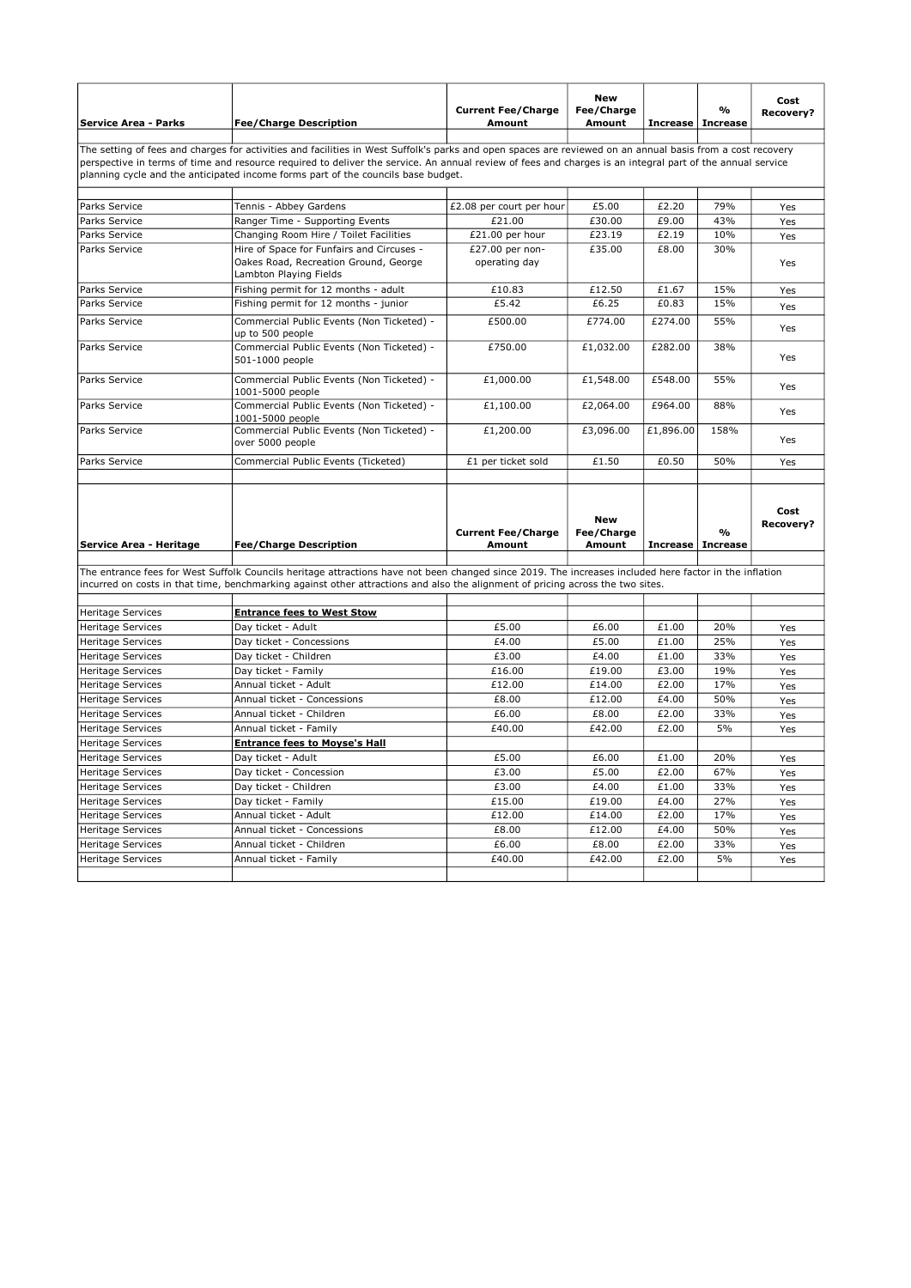| Service Area - Parks     | <b>Fee/Charge Description</b>                                                                                                                                                                                                                                                                                                                                                                                | <b>Current Fee/Charge</b><br>Amount | <b>New</b><br>Fee/Charge<br>Amount | <b>Increase</b>     | $\frac{9}{6}$<br><b>Increase</b> | Cost<br>Recovery? |
|--------------------------|--------------------------------------------------------------------------------------------------------------------------------------------------------------------------------------------------------------------------------------------------------------------------------------------------------------------------------------------------------------------------------------------------------------|-------------------------------------|------------------------------------|---------------------|----------------------------------|-------------------|
|                          | The setting of fees and charges for activities and facilities in West Suffolk's parks and open spaces are reviewed on an annual basis from a cost recovery<br>perspective in terms of time and resource required to deliver the service. An annual review of fees and charges is an integral part of the annual service<br>planning cycle and the anticipated income forms part of the councils base budget. |                                     |                                    |                     |                                  |                   |
|                          |                                                                                                                                                                                                                                                                                                                                                                                                              |                                     |                                    |                     |                                  |                   |
| Parks Service            | Tennis - Abbey Gardens                                                                                                                                                                                                                                                                                                                                                                                       | £2.08 per court per hour            | £5.00                              | £2.20               | 79%                              | Yes               |
| Parks Service            | Ranger Time - Supporting Events                                                                                                                                                                                                                                                                                                                                                                              | £21.00                              | £30.00                             | £9.00               | 43%                              | Yes               |
| Parks Service            | Changing Room Hire / Toilet Facilities                                                                                                                                                                                                                                                                                                                                                                       | £21.00 per hour                     | £23.19                             | £2.19               | 10%                              | Yes               |
| Parks Service            | Hire of Space for Funfairs and Circuses -<br>Oakes Road, Recreation Ground, George<br>Lambton Playing Fields                                                                                                                                                                                                                                                                                                 | £27.00 per non-<br>operating day    | £35.00                             | £8.00               | 30%                              | Yes               |
| Parks Service            | Fishing permit for 12 months - adult                                                                                                                                                                                                                                                                                                                                                                         | £10.83                              | £12.50                             | £1.67               | 15%                              | Yes               |
| Parks Service            | Fishing permit for 12 months - junior                                                                                                                                                                                                                                                                                                                                                                        | £5.42                               | £6.25                              | £0.83               | 15%                              | Yes               |
| Parks Service            | Commercial Public Events (Non Ticketed) -<br>up to 500 people                                                                                                                                                                                                                                                                                                                                                | £500.00                             | £774.00                            | £274.00             | 55%                              | Yes               |
| Parks Service            | Commercial Public Events (Non Ticketed) -<br>501-1000 people                                                                                                                                                                                                                                                                                                                                                 | £750.00                             | £1,032.00                          | £282.00             | 38%                              | Yes               |
| Parks Service            | Commercial Public Events (Non Ticketed) -<br>1001-5000 people                                                                                                                                                                                                                                                                                                                                                | £1,000.00                           | £1,548.00                          | £548.00             | 55%                              | Yes               |
| Parks Service            | Commercial Public Events (Non Ticketed) -<br>1001-5000 people                                                                                                                                                                                                                                                                                                                                                | £1,100.00                           | £2,064.00                          | £964.00             | 88%                              | Yes               |
| Parks Service            | Commercial Public Events (Non Ticketed) -<br>over 5000 people                                                                                                                                                                                                                                                                                                                                                | £1,200.00                           | £3,096.00                          | £1,896.00           | 158%                             | Yes               |
| Parks Service            | Commercial Public Events (Ticketed)                                                                                                                                                                                                                                                                                                                                                                          | £1 per ticket sold                  | £1.50                              | £0.50               | 50%                              | Yes               |
| Service Area - Heritage  | <b>Fee/Charge Description</b>                                                                                                                                                                                                                                                                                                                                                                                | <b>Current Fee/Charge</b><br>Amount | <b>New</b><br>Fee/Charge<br>Amount | Increase   Increase | $\frac{9}{6}$                    | Cost<br>Recovery? |
|                          |                                                                                                                                                                                                                                                                                                                                                                                                              |                                     |                                    |                     |                                  |                   |
|                          | The entrance fees for West Suffolk Councils heritage attractions have not been changed since 2019. The increases included here factor in the inflation<br>incurred on costs in that time, benchmarking against other attractions and also the alignment of pricing across the two sites.                                                                                                                     |                                     |                                    |                     |                                  |                   |
|                          |                                                                                                                                                                                                                                                                                                                                                                                                              |                                     |                                    |                     |                                  |                   |
| <b>Heritage Services</b> | <b>Entrance fees to West Stow</b>                                                                                                                                                                                                                                                                                                                                                                            | £5.00                               | £6.00                              | £1.00               | 20%                              |                   |
| <b>Heritage Services</b> | Day ticket - Adult                                                                                                                                                                                                                                                                                                                                                                                           |                                     |                                    |                     | 25%                              | Yes               |
| <b>Heritage Services</b> | Day ticket - Concessions<br>Dav ticket - Children                                                                                                                                                                                                                                                                                                                                                            | £4.00<br>£3.00                      | £5.00<br>£4.00                     | £1.00<br>£1.00      | 33%                              | Yes               |
| <b>Heritage Services</b> |                                                                                                                                                                                                                                                                                                                                                                                                              |                                     |                                    |                     |                                  | Yes               |
| <b>Heritage Services</b> | Day ticket - Family                                                                                                                                                                                                                                                                                                                                                                                          | £16.00                              | £19.00                             | £3.00               | 19%                              | Yes               |
| <b>Heritage Services</b> | Annual ticket - Adult                                                                                                                                                                                                                                                                                                                                                                                        | £12.00                              | £14.00                             | £2.00               | 17%                              | Yes               |
| <b>Heritage Services</b> | Annual ticket - Concessions                                                                                                                                                                                                                                                                                                                                                                                  | £8.00                               | £12.00                             | £4.00               | 50%                              | Yes               |
| <b>Heritage Services</b> | Annual ticket - Children                                                                                                                                                                                                                                                                                                                                                                                     | £6.00                               | £8.00                              | £2.00               | 33%                              | Yes               |
| <b>Heritage Services</b> | Annual ticket - Family                                                                                                                                                                                                                                                                                                                                                                                       | £40.00                              | £42.00                             | £2.00               | 5%                               | Yes               |
| <b>Heritage Services</b> | <b>Entrance fees to Moyse's Hall</b>                                                                                                                                                                                                                                                                                                                                                                         |                                     |                                    |                     |                                  |                   |
| <b>Heritage Services</b> | Day ticket - Adult                                                                                                                                                                                                                                                                                                                                                                                           | £5.00                               | £6.00                              | £1.00               | 20%                              | Yes               |
| <b>Heritage Services</b> | Day ticket - Concession                                                                                                                                                                                                                                                                                                                                                                                      | £3.00                               | £5.00                              | £2.00               | 67%                              | Yes               |
| <b>Heritage Services</b> | Day ticket - Children                                                                                                                                                                                                                                                                                                                                                                                        | £3.00                               | £4.00                              | £1.00               | 33%                              | Yes               |
| <b>Heritage Services</b> | Day ticket - Family                                                                                                                                                                                                                                                                                                                                                                                          | £15.00                              | £19.00                             | £4.00               | 27%                              | Yes               |
| <b>Heritage Services</b> | Annual ticket - Adult                                                                                                                                                                                                                                                                                                                                                                                        | £12.00                              | £14.00                             | £2.00               | 17%                              | Yes               |
| <b>Heritage Services</b> | Annual ticket - Concessions                                                                                                                                                                                                                                                                                                                                                                                  | £8.00                               | £12.00                             | £4.00               | 50%                              | Yes               |
| <b>Heritage Services</b> |                                                                                                                                                                                                                                                                                                                                                                                                              |                                     |                                    |                     |                                  |                   |
|                          | Annual ticket - Children                                                                                                                                                                                                                                                                                                                                                                                     | £6.00                               | £8.00                              | £2.00               | 33%                              | Yes               |